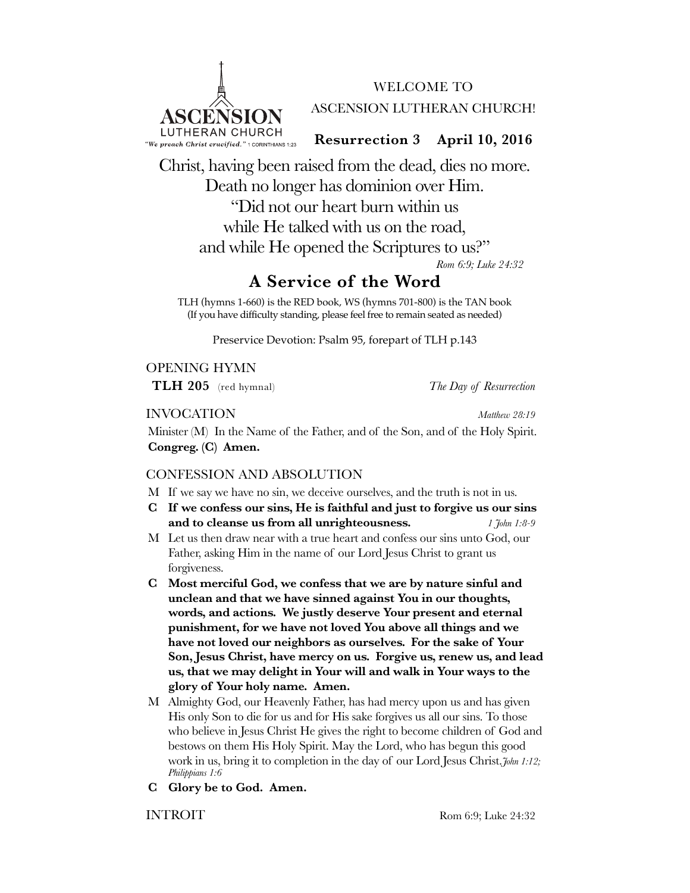

WELCOME TO ASCENSION LUTHERAN CHURCH!

**Resurrection 3 April 10, 2016**

Christ, having been raised from the dead, dies no more. Death no longer has dominion over Him. "Did not our heart burn within us while He talked with us on the road, and while He opened the Scriptures to us?" *Rom 6:9; Luke 24:32*

# **A Service of the Word**

TLH (hymns 1-660) is the RED book, WS (hymns 701-800) is the TAN book (If you have difficulty standing, please feel free to remain seated as needed)

Preservice Devotion: Psalm 95, forepart of TLH p.143

OPENING HYMN

**TLH 205** (red hymnal) *The Day of Resurrection*

INVOCATION *Matthew 28:19*

Minister (M) In the Name of the Father, and of the Son, and of the Holy Spirit. **Congreg. (C) Amen.**

### CONFESSION AND ABSOLUTION

- M If we say we have no sin, we deceive ourselves, and the truth is not in us.
- **C If we confess our sins, He is faithful and just to forgive us our sins and to cleanse us from all unrighteousness.** *1 John 1:8-9*
- M Let us then draw near with a true heart and confess our sins unto God, our Father, asking Him in the name of our Lord Jesus Christ to grant us forgiveness.
- **C Most merciful God, we confess that we are by nature sinful and unclean and that we have sinned against You in our thoughts, words, and actions. We justly deserve Your present and eternal punishment, for we have not loved You above all things and we have not loved our neighbors as ourselves. For the sake of Your Son, Jesus Christ, have mercy on us. Forgive us, renew us, and lead us, that we may delight in Your will and walk in Your ways to the glory of Your holy name. Amen.**
- M Almighty God, our Heavenly Father, has had mercy upon us and has given His only Son to die for us and for His sake forgives us all our sins. To those who believe in Jesus Christ He gives the right to become children of God and bestows on them His Holy Spirit. May the Lord, who has begun this good work in us, bring it to completion in the day of our Lord Jesus Christ.*John 1:12; Philippians 1:6*
- **C Glory be to God. Amen.**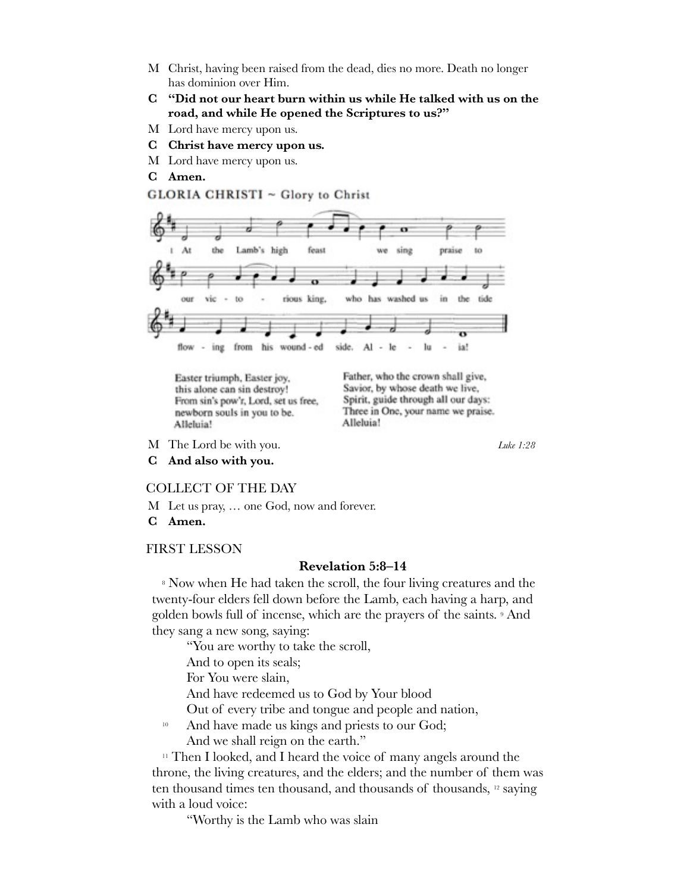- M Christ, having been raised from the dead, dies no more. Death no longer has dominion over Him.
- **C "Did not our heart burn within us while He talked with us on the road, and while He opened the Scriptures to us?"**
- M Lord have mercy upon us.
- **C Christ have mercy upon us.**

GLORIA CHRISTI ~ Glory to Christ

- M Lord have mercy upon us.
- **C Amen.**

#### sing At the Lamb's high feast praise we rious king. who washed in the tide OUT vie to has **us** his wound - ed from side. Al ia! flow ing  $\sim$ lc

Easter triumph, Easter joy, this alone can sin destroy! From sin's pow'r, Lord, set us free, newborn souls in you to be. Alleluia!

Father, who the crown shall give, Savior, by whose death we live, Spirit, guide through all our days: Three in One, your name we praise. Alleluia!

- M The Lord be with you. *Luke 1:28*
- **C And also with you.**

#### COLLECT OF THE DAY

- M Let us pray, … one God, now and forever.
- **C Amen.**

#### FIRST LESSON

#### **Revelation 5:8–14**

<sup>8</sup> Now when He had taken the scroll, the four living creatures and the twenty-four elders fell down before the Lamb, each having a harp, and golden bowls full of incense, which are the prayers of the saints. 9 And they sang a new song, saying:

"You are worthy to take the scroll,

And to open its seals;

For You were slain,

And have redeemed us to God by Your blood

Out of every tribe and tongue and people and nation,

<sup>10</sup> And have made us kings and priests to our God; And we shall reign on the earth."

<sup>11</sup> Then I looked, and I heard the voice of many angels around the throne, the living creatures, and the elders; and the number of them was ten thousand times ten thousand, and thousands of thousands, 12 saying with a loud voice:

"Worthy is the Lamb who was slain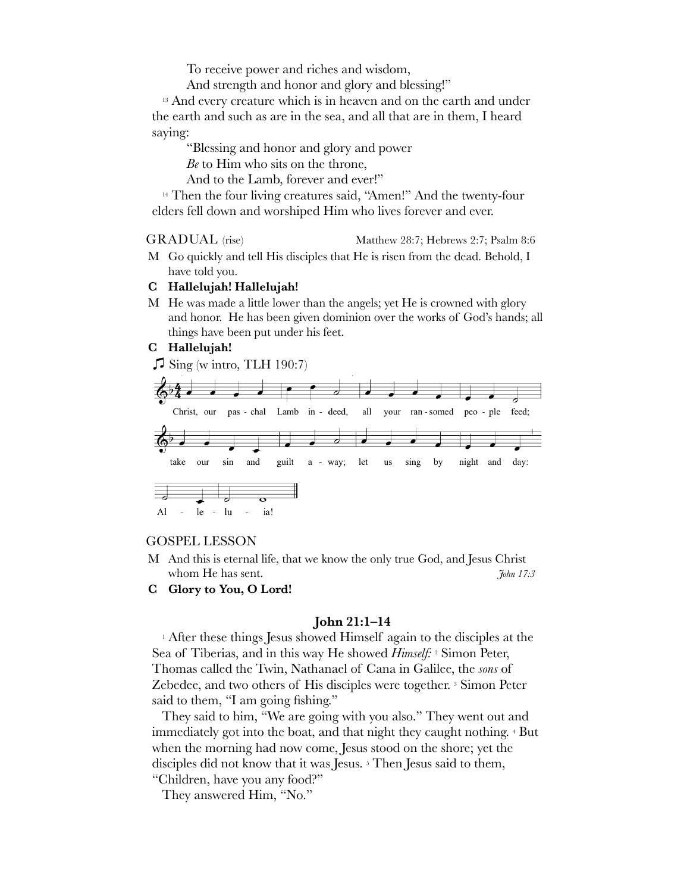To receive power and riches and wisdom,

And strength and honor and glory and blessing!"

<sup>13</sup> And every creature which is in heaven and on the earth and under the earth and such as are in the sea, and all that are in them, I heard saying:

"Blessing and honor and glory and power

*Be* to Him who sits on the throne,

And to the Lamb, forever and ever!"

<sup>14</sup> Then the four living creatures said, "Amen!" And the twenty-four elders fell down and worshiped Him who lives forever and ever.

GRADUAL (rise) Matthew 28:7; Hebrews 2:7; Psalm 8:6

M Go quickly and tell His disciples that He is risen from the dead. Behold, I have told you.

#### **C Hallelujah! Hallelujah!**

M He was made a little lower than the angels; yet He is crowned with glory and honor. He has been given dominion over the works of God's hands; all things have been put under his feet.

#### **C Hallelujah!**

 $\sqrt{\frac{1}{1}}$  Sing (w intro, TLH 190:7)



#### GOSPEL LESSON

- M And this is eternal life, that we know the only true God, and Jesus Christ whom He has sent. *John 17:3*
- **C Glory to You, O Lord!**

#### **John 21:1–14**

1 After these things Jesus showed Himself again to the disciples at the Sea of Tiberias, and in this way He showed *Himself:* 2 Simon Peter, Thomas called the Twin, Nathanael of Cana in Galilee, the *sons* of Zebedee, and two others of His disciples were together. <sup>3</sup> Simon Peter said to them, "I am going fishing."

They said to him, "We are going with you also." They went out and immediately got into the boat, and that night they caught nothing. 4 But when the morning had now come, Jesus stood on the shore; yet the disciples did not know that it was Jesus. 5 Then Jesus said to them, "Children, have you any food?"

They answered Him, "No."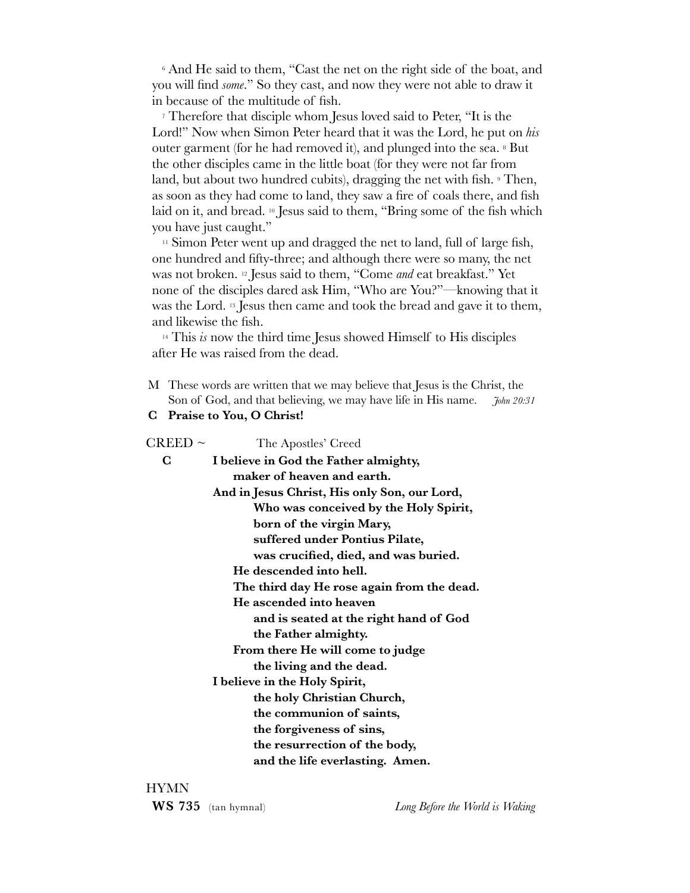6 And He said to them, "Cast the net on the right side of the boat, and you will find *some*." So they cast, and now they were not able to draw it in because of the multitude of fish.

7 Therefore that disciple whom Jesus loved said to Peter, "It is the Lord!" Now when Simon Peter heard that it was the Lord, he put on *his* outer garment (for he had removed it), and plunged into the sea. 8 But the other disciples came in the little boat (for they were not far from land, but about two hundred cubits), dragging the net with fish. <sup>9</sup> Then, as soon as they had come to land, they saw a fire of coals there, and fish laid on it, and bread. 10 Jesus said to them, "Bring some of the fish which you have just caught."

 $11$  Simon Peter went up and dragged the net to land, full of large fish, one hundred and fifty-three; and although there were so many, the net was not broken. 12 Jesus said to them, "Come *and* eat breakfast." Yet none of the disciples dared ask Him, "Who are You?"—knowing that it was the Lord. 13 Jesus then came and took the bread and gave it to them, and likewise the fish.

14 This *is* now the third time Jesus showed Himself to His disciples after He was raised from the dead.

- M These words are written that we may believe that Jesus is the Christ, the Son of God, and that believing, we may have life in His name. *John 20:31*
- **C Praise to You, O Christ!**

| $\rm CREED\sim$               | The Apostles' Creed                          |  |  |  |  |
|-------------------------------|----------------------------------------------|--|--|--|--|
| $\bf C$                       | I believe in God the Father almighty,        |  |  |  |  |
|                               | maker of heaven and earth.                   |  |  |  |  |
|                               | And in Jesus Christ, His only Son, our Lord, |  |  |  |  |
|                               | Who was conceived by the Holy Spirit,        |  |  |  |  |
|                               | born of the virgin Mary,                     |  |  |  |  |
|                               | suffered under Pontius Pilate,               |  |  |  |  |
|                               | was crucified, died, and was buried.         |  |  |  |  |
|                               | He descended into hell.                      |  |  |  |  |
|                               | The third day He rose again from the dead.   |  |  |  |  |
|                               | He ascended into heaven                      |  |  |  |  |
|                               | and is seated at the right hand of God       |  |  |  |  |
|                               | the Father almighty.                         |  |  |  |  |
|                               | From there He will come to judge             |  |  |  |  |
|                               | the living and the dead.                     |  |  |  |  |
| I believe in the Holy Spirit, |                                              |  |  |  |  |
|                               | the holy Christian Church,                   |  |  |  |  |
|                               | the communion of saints,                     |  |  |  |  |
|                               | the forgiveness of sins,                     |  |  |  |  |
|                               | the resurrection of the body,                |  |  |  |  |
|                               | and the life everlasting. Amen.              |  |  |  |  |
|                               |                                              |  |  |  |  |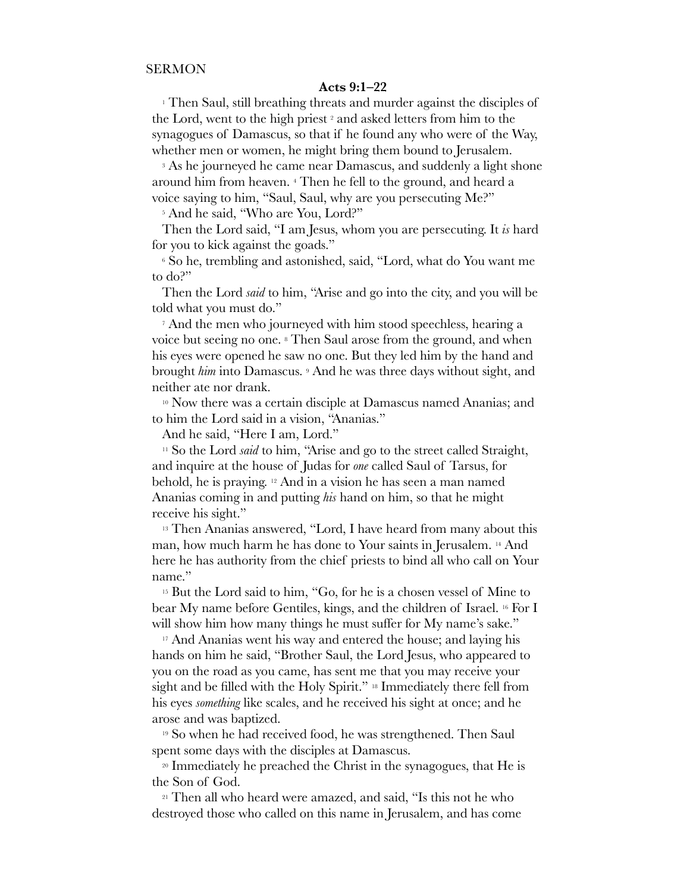#### **Acts 9:1–22**

1 Then Saul, still breathing threats and murder against the disciples of the Lord, went to the high priest 2 and asked letters from him to the synagogues of Damascus, so that if he found any who were of the Way, whether men or women, he might bring them bound to Jerusalem.

<sup>3</sup> As he journeyed he came near Damascus, and suddenly a light shone around him from heaven. 4 Then he fell to the ground, and heard a voice saying to him, "Saul, Saul, why are you persecuting Me?"

<sup>5</sup> And he said, "Who are You, Lord?"

Then the Lord said, "I am Jesus, whom you are persecuting. It *is* hard for you to kick against the goads."

6 So he, trembling and astonished, said, "Lord, what do You want me to do?"

Then the Lord *said* to him, "Arise and go into the city, and you will be told what you must do."

7 And the men who journeyed with him stood speechless, hearing a voice but seeing no one. 8 Then Saul arose from the ground, and when his eyes were opened he saw no one. But they led him by the hand and brought *him* into Damascus. 9 And he was three days without sight, and neither ate nor drank.

10 Now there was a certain disciple at Damascus named Ananias; and to him the Lord said in a vision, "Ananias."

And he said, "Here I am, Lord."

<sup>11</sup> So the Lord *said* to him, "Arise and go to the street called Straight, and inquire at the house of Judas for *one* called Saul of Tarsus, for behold, he is praying. 12 And in a vision he has seen a man named Ananias coming in and putting *his* hand on him, so that he might receive his sight."

<sup>13</sup> Then Ananias answered, "Lord, I have heard from many about this man, how much harm he has done to Your saints in Jerusalem. 14 And here he has authority from the chief priests to bind all who call on Your name."

<sup>15</sup> But the Lord said to him, "Go, for he is a chosen vessel of Mine to bear My name before Gentiles, kings, and the children of Israel. 16 For I will show him how many things he must suffer for My name's sake."

<sup>17</sup> And Ananias went his way and entered the house; and laying his hands on him he said, "Brother Saul, the Lord Jesus, who appeared to you on the road as you came, has sent me that you may receive your sight and be filled with the Holy Spirit." <sup>18</sup> Immediately there fell from his eyes *something* like scales, and he received his sight at once; and he arose and was baptized.

<sup>19</sup> So when he had received food, he was strengthened. Then Saul spent some days with the disciples at Damascus.

<sup>20</sup> Immediately he preached the Christ in the synagogues, that He is the Son of God.

21 Then all who heard were amazed, and said, "Is this not he who destroyed those who called on this name in Jerusalem, and has come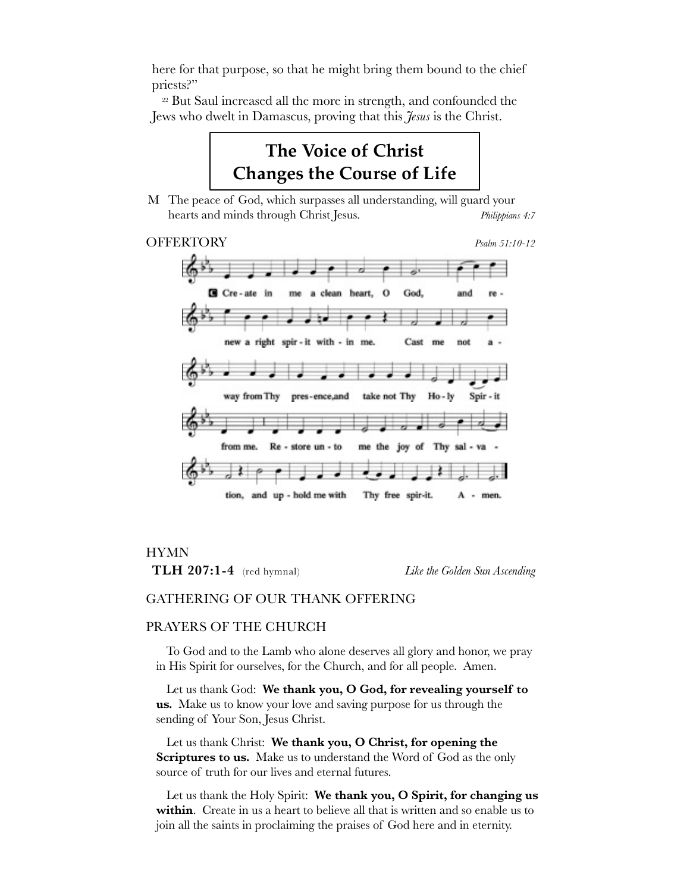here for that purpose, so that he might bring them bound to the chief priests?"

22 But Saul increased all the more in strength, and confounded the Jews who dwelt in Damascus, proving that this *Jesus* is the Christ.

# **The Voice of Christ Changes the Course of Life**

M The peace of God, which surpasses all understanding, will guard your hearts and minds through Christ Jesus. *Philippians 4:7*

### OFFERTORY *Psalm 51:10-12*



#### HYMN

**TLH 207:1-4** (red hymnal) *Like the Golden Sun Ascending*

#### GATHERING OF OUR THANK OFFERING

#### PRAYERS OF THE CHURCH

To God and to the Lamb who alone deserves all glory and honor, we pray in His Spirit for ourselves, for the Church, and for all people. Amen.

Let us thank God: **We thank you, O God, for revealing yourself to us.** Make us to know your love and saving purpose for us through the sending of Your Son, Jesus Christ.

Let us thank Christ: **We thank you, O Christ, for opening the**  Scriptures to us. Make us to understand the Word of God as the only source of truth for our lives and eternal futures.

Let us thank the Holy Spirit: **We thank you, O Spirit, for changing us within**. Create in us a heart to believe all that is written and so enable us to join all the saints in proclaiming the praises of God here and in eternity.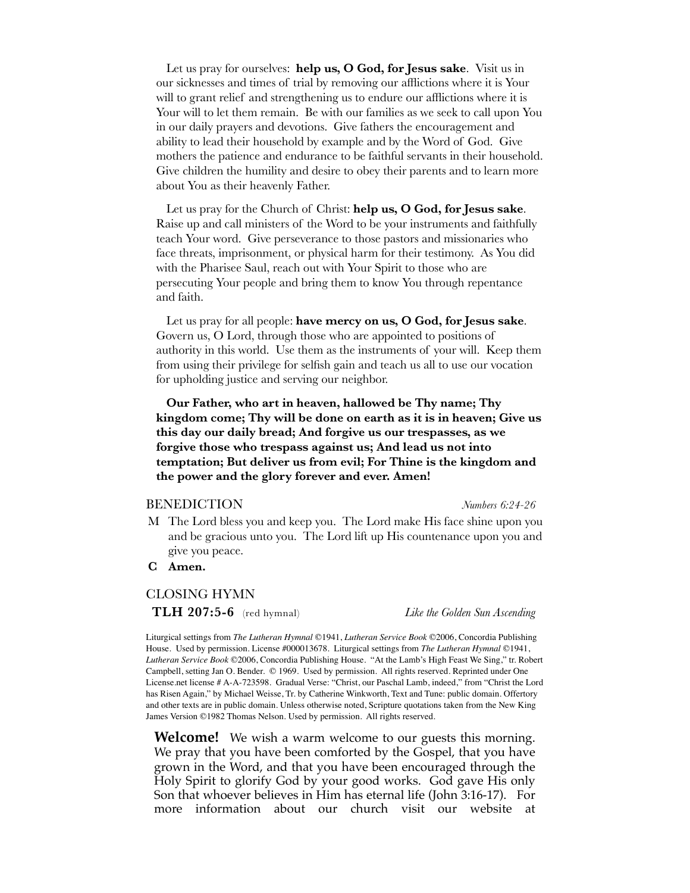Let us pray for ourselves: **help us, O God, for Jesus sake**.Visit us in our sicknesses and times of trial by removing our afflictions where it is Your will to grant relief and strengthening us to endure our afflictions where it is Your will to let them remain. Be with our families as we seek to call upon You in our daily prayers and devotions. Give fathers the encouragement and ability to lead their household by example and by the Word of God. Give mothers the patience and endurance to be faithful servants in their household. Give children the humility and desire to obey their parents and to learn more about You as their heavenly Father.

Let us pray for the Church of Christ: **help us, O God, for Jesus sake**. Raise up and call ministers of the Word to be your instruments and faithfully teach Your word. Give perseverance to those pastors and missionaries who face threats, imprisonment, or physical harm for their testimony. As You did with the Pharisee Saul, reach out with Your Spirit to those who are persecuting Your people and bring them to know You through repentance and faith.

Let us pray for all people: **have mercy on us, O God, for Jesus sake**. Govern us, O Lord, through those who are appointed to positions of authority in this world. Use them as the instruments of your will. Keep them from using their privilege for selfish gain and teach us all to use our vocation for upholding justice and serving our neighbor.

**Our Father, who art in heaven, hallowed be Thy name; Thy kingdom come; Thy will be done on earth as it is in heaven; Give us this day our daily bread; And forgive us our trespasses, as we forgive those who trespass against us; And lead us not into temptation; But deliver us from evil; For Thine is the kingdom and the power and the glory forever and ever. Amen!**

#### BENEDICTION *Numbers 6:24-26*

- M The Lord bless you and keep you. The Lord make His face shine upon you and be gracious unto you. The Lord lift up His countenance upon you and give you peace.
- **C Amen.**

#### CLOSING HYMN

**TLH 207:5-6** (red hymnal) *Like the Golden Sun Ascending*

Liturgical settings from *The Lutheran Hymnal* ©1941, *Lutheran Service Book* ©2006, Concordia Publishing House. Used by permission. License #000013678. Liturgical settings from *The Lutheran Hymnal* ©1941, *Lutheran Service Book* ©2006, Concordia Publishing House. "At the Lamb's High Feast We Sing," tr. Robert Campbell, setting Jan O. Bender. © 1969. Used by permission. All rights reserved. Reprinted under One License.net license # A-A-723598. Gradual Verse: "Christ, our Paschal Lamb, indeed," from "Christ the Lord has Risen Again," by Michael Weisse, Tr. by Catherine Winkworth, Text and Tune: public domain. Offertory and other texts are in public domain. Unless otherwise noted, Scripture quotations taken from the New King James Version ©1982 Thomas Nelson. Used by permission. All rights reserved.

**Welcome!** We wish a warm welcome to our guests this morning. We pray that you have been comforted by the Gospel, that you have grown in the Word, and that you have been encouraged through the Holy Spirit to glorify God by your good works. God gave His only Son that whoever believes in Him has eternal life (John 3:16-17). For more information about our church visit our website at